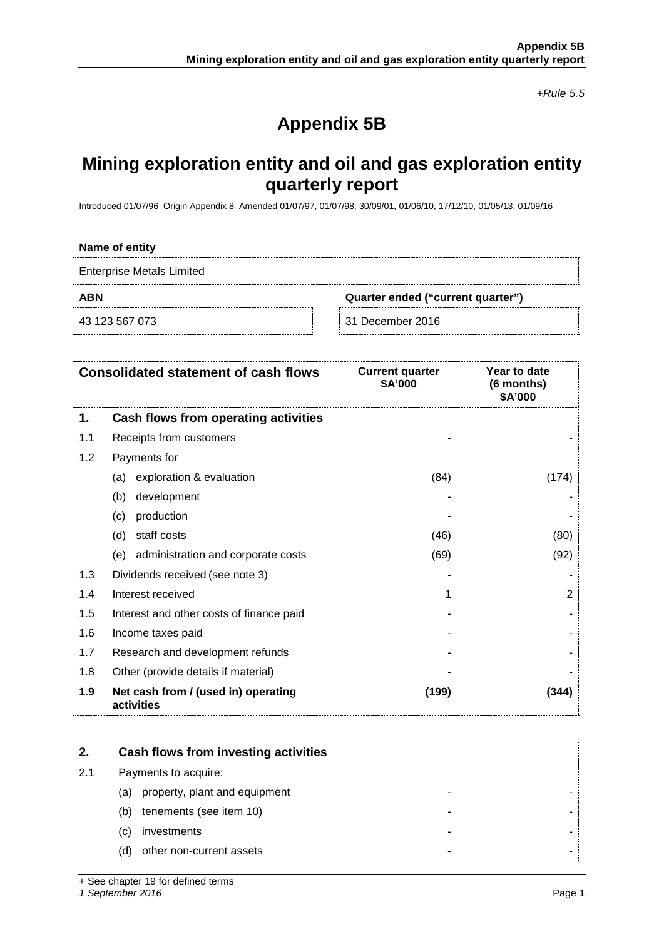*+Rule 5.5*

# **Appendix 5B**

# **Mining exploration entity and oil and gas exploration entity quarterly report**

Introduced 01/07/96 Origin Appendix 8 Amended 01/07/97, 01/07/98, 30/09/01, 01/06/10, 17/12/10, 01/05/13, 01/09/16

#### **Name of entity**

Enterprise Metals Limited

**ABN Quarter ended ("current quarter")**

43 123 567 073 31 December 2016

|     | <b>Consolidated statement of cash flows</b>       | <b>Current quarter</b><br>\$A'000 | Year to date<br>(6 months)<br>\$A'000 |
|-----|---------------------------------------------------|-----------------------------------|---------------------------------------|
| 1.  | Cash flows from operating activities              |                                   |                                       |
| 1.1 | Receipts from customers                           |                                   |                                       |
| 1.2 | Payments for                                      |                                   |                                       |
|     | exploration & evaluation<br>(a)                   | (84)                              | (174)                                 |
|     | development<br>(b)                                |                                   |                                       |
|     | production<br>(c)                                 |                                   |                                       |
|     | staff costs<br>(d)                                | (46)                              | (80)                                  |
|     | administration and corporate costs<br>(e)         | (69)                              | (92)                                  |
| 1.3 | Dividends received (see note 3)                   |                                   |                                       |
| 1.4 | Interest received                                 |                                   | 2                                     |
| 1.5 | Interest and other costs of finance paid          |                                   |                                       |
| 1.6 | Income taxes paid                                 |                                   |                                       |
| 1.7 | Research and development refunds                  |                                   |                                       |
| 1.8 | Other (provide details if material)               |                                   |                                       |
| 1.9 | Net cash from / (used in) operating<br>activities | (199)                             | (344                                  |

|     | Cash flows from investing activities |  |
|-----|--------------------------------------|--|
| 2.1 | Payments to acquire:                 |  |
|     | property, plant and equipment<br>(a) |  |
|     | tenements (see item 10)<br>(b)       |  |
|     | investments<br>(C)                   |  |
|     | other non-current assets<br>(d)      |  |

+ See chapter 19 for defined terms

*1 September 2016* Page 1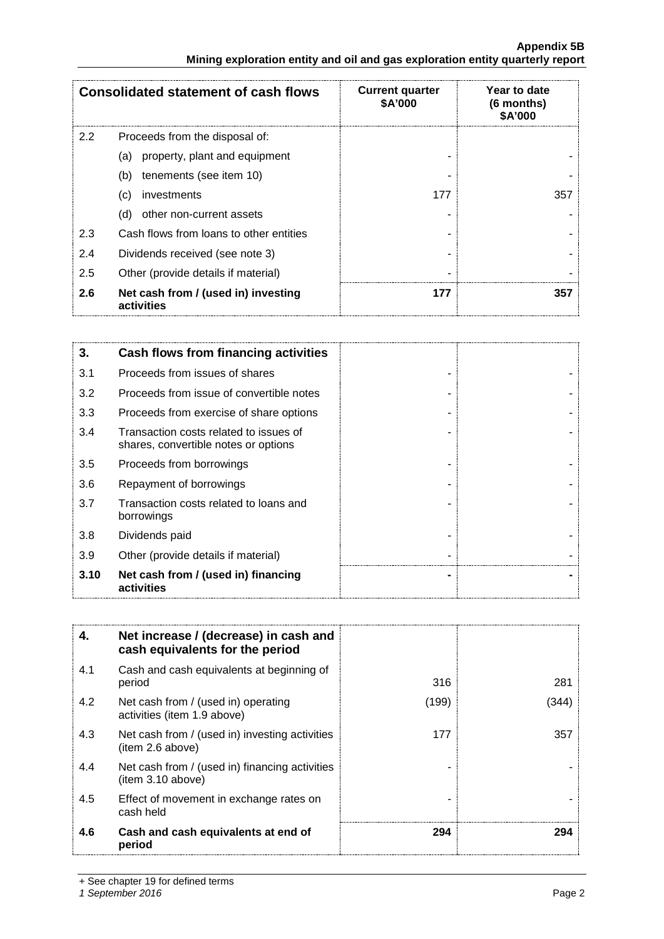#### **Appendix 5B Mining exploration entity and oil and gas exploration entity quarterly report**

|               | <b>Consolidated statement of cash flows</b>       | <b>Current quarter</b><br>\$A'000 | Year to date<br>(6 months)<br>\$A'000 |
|---------------|---------------------------------------------------|-----------------------------------|---------------------------------------|
| $2.2^{\circ}$ | Proceeds from the disposal of:                    |                                   |                                       |
|               | property, plant and equipment<br>(a)              |                                   |                                       |
|               | tenements (see item 10)<br>(b)                    |                                   |                                       |
|               | investments<br>(c)                                | 177                               | 357                                   |
|               | other non-current assets<br>(d)                   |                                   |                                       |
| 2.3           | Cash flows from loans to other entities           |                                   |                                       |
| 2.4           | Dividends received (see note 3)                   |                                   |                                       |
| 2.5           | Other (provide details if material)               |                                   |                                       |
| 2.6           | Net cash from / (used in) investing<br>activities | 177                               | 357                                   |

| 3.   | Cash flows from financing activities                                           |  |
|------|--------------------------------------------------------------------------------|--|
| 3.1  | Proceeds from issues of shares                                                 |  |
| 3.2  | Proceeds from issue of convertible notes                                       |  |
| 3.3  | Proceeds from exercise of share options                                        |  |
| 3.4  | Transaction costs related to issues of<br>shares, convertible notes or options |  |
| 3.5  | Proceeds from borrowings                                                       |  |
| 3.6  | Repayment of borrowings                                                        |  |
| 3.7  | Transaction costs related to loans and<br>borrowings                           |  |
| 3.8  | Dividends paid                                                                 |  |
| 3.9  | Other (provide details if material)                                            |  |
| 3.10 | Net cash from / (used in) financing<br>activities                              |  |

| 4.  | Net increase / (decrease) in cash and<br>cash equivalents for the period |       |     |
|-----|--------------------------------------------------------------------------|-------|-----|
| 4.1 | Cash and cash equivalents at beginning of<br>period                      | 316   | 281 |
| 4.2 | Net cash from / (used in) operating<br>activities (item 1.9 above)       | (199) | 344 |
| 4.3 | Net cash from / (used in) investing activities<br>(item 2.6 above)       | 177   | 357 |
| 4.4 | Net cash from / (used in) financing activities<br>item 3.10 above)       |       |     |
| 4.5 | Effect of movement in exchange rates on<br>cash held                     |       |     |
| 4.6 | Cash and cash equivalents at end of<br>period                            | 294   | 294 |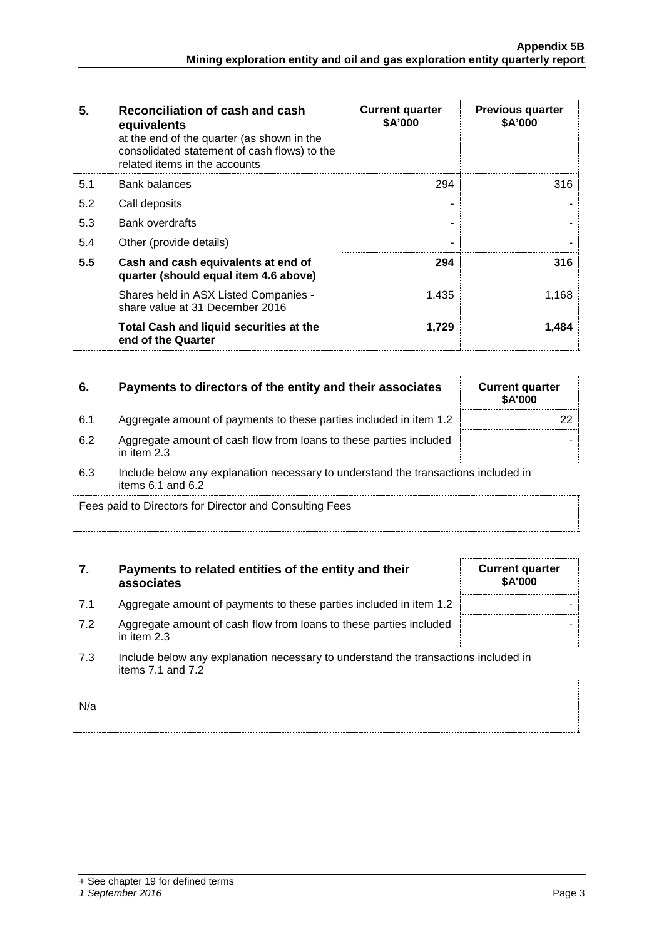| 5.  | Reconciliation of cash and cash<br>equivalents<br>at the end of the quarter (as shown in the<br>consolidated statement of cash flows) to the<br>related items in the accounts | <b>Current quarter</b><br><b>\$A'000</b> | <b>Previous quarter</b><br>\$A'000 |
|-----|-------------------------------------------------------------------------------------------------------------------------------------------------------------------------------|------------------------------------------|------------------------------------|
| 5.1 | <b>Bank balances</b>                                                                                                                                                          | 294                                      | 316                                |
| 5.2 | Call deposits                                                                                                                                                                 |                                          |                                    |
| 5.3 | <b>Bank overdrafts</b>                                                                                                                                                        |                                          |                                    |
| 5.4 | Other (provide details)                                                                                                                                                       |                                          |                                    |
| 5.5 | Cash and cash equivalents at end of<br>quarter (should equal item 4.6 above)                                                                                                  | 294                                      | 316                                |
|     | Shares held in ASX Listed Companies -<br>share value at 31 December 2016                                                                                                      | 1,435                                    | 1.168                              |
|     | Total Cash and liquid securities at the<br>end of the Quarter                                                                                                                 | 1,729                                    | 1,484                              |

## **6.** Payments to directors of the entity and their associates

- 6.1 Aggregate amount of payments to these parties included in item 1.2
- 6.2 Aggregate amount of cash flow from loans to these parties included in item 2.3
- 6.3 Include below any explanation necessary to understand the transactions included in items 6.1 and 6.2

Fees paid to Directors for Director and Consulting Fees

# **7. Payments to related entities of the entity and their associates**

- 7.1 Aggregate amount of payments to these parties included in item 1.2
- 7.2 Aggregate amount of cash flow from loans to these parties included in item 2.3
- 7.3 Include below any explanation necessary to understand the transactions included in items 7.1 and 7.2

N/a

|  | + See chapter 19 for defined terms |  |  |
|--|------------------------------------|--|--|
|  |                                    |  |  |

# *1 September 2016* Page 3

| <b>Current quarter</b><br>\$A'000   |    |  |
|-------------------------------------|----|--|
|                                     | 22 |  |
|                                     |    |  |
| the contract of the contract of the |    |  |

| <b>Current quarter</b><br>\$A'000 |  |
|-----------------------------------|--|
|                                   |  |
|                                   |  |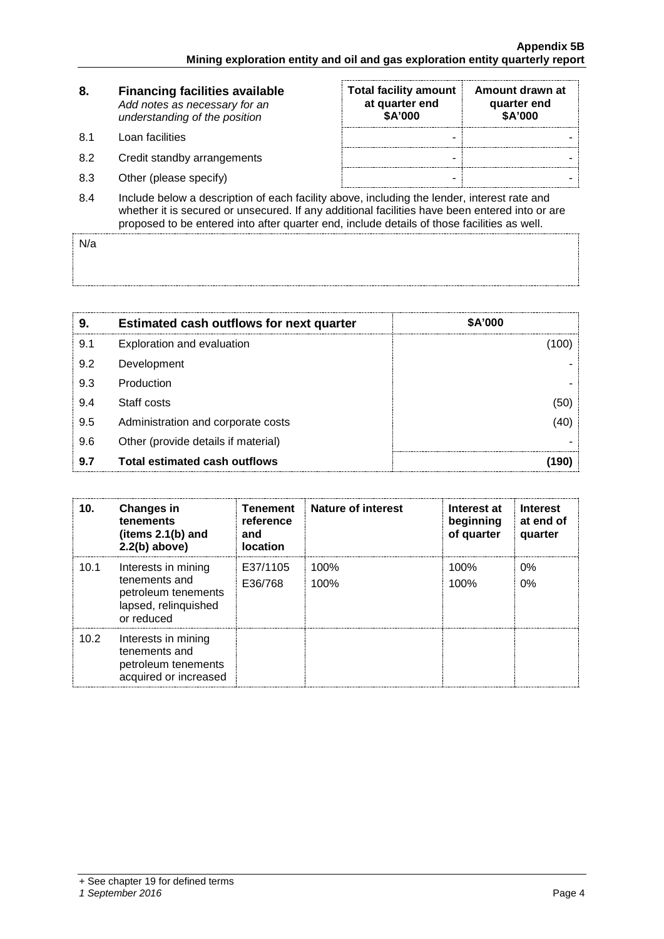| 8.  | <b>Financing facilities available</b><br>Add notes as necessary for an<br>understanding of the position                                                                                                                                                                                      | <b>Total facility amount</b><br>at quarter end<br>\$A'000 | Amount drawn at<br>quarter end<br>\$A'000 |
|-----|----------------------------------------------------------------------------------------------------------------------------------------------------------------------------------------------------------------------------------------------------------------------------------------------|-----------------------------------------------------------|-------------------------------------------|
| 8.1 | Loan facilities                                                                                                                                                                                                                                                                              | -                                                         |                                           |
| 8.2 | Credit standby arrangements                                                                                                                                                                                                                                                                  | -                                                         |                                           |
| 8.3 | Other (please specify)                                                                                                                                                                                                                                                                       | -                                                         |                                           |
| 8.4 | Include below a description of each facility above, including the lender, interest rate and<br>whether it is secured or unsecured. If any additional facilities have been entered into or are<br>proposed to be entered into after quarter end, include details of those facilities as well. |                                                           |                                           |

 $N/a$ 

| 9.  | <b>Estimated cash outflows for next quarter</b> | <b>\$A'000</b> |
|-----|-------------------------------------------------|----------------|
| 9.1 | Exploration and evaluation                      |                |
| 9.2 | Development                                     |                |
| 9.3 | Production                                      |                |
| 9.4 | Staff costs                                     | 50             |
| 9.5 | Administration and corporate costs              | 40             |
| 9.6 | Other (provide details if material)             |                |
| 9.7 | <b>Total estimated cash outflows</b>            |                |

| 10.  | <b>Changes in</b><br>tenements<br>(items $2.1(b)$ and<br>$2.2(b)$ above)                          | Tenement<br>reference<br>and<br><b>location</b> | <b>Nature of interest</b> | Interest at<br>beginning<br>of quarter | <b>Interest</b><br>at end of<br>quarter |
|------|---------------------------------------------------------------------------------------------------|-------------------------------------------------|---------------------------|----------------------------------------|-----------------------------------------|
| 10.1 | Interests in mining<br>tenements and<br>petroleum tenements<br>lapsed, relinquished<br>or reduced | E37/1105<br>E36/768                             | 100%<br>100%              | 100%<br>100%                           | $0\%$<br>0%                             |
| 10.2 | Interests in mining<br>tenements and<br>petroleum tenements<br>acquired or increased              |                                                 |                           |                                        |                                         |